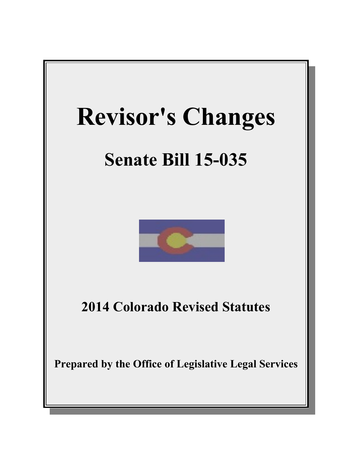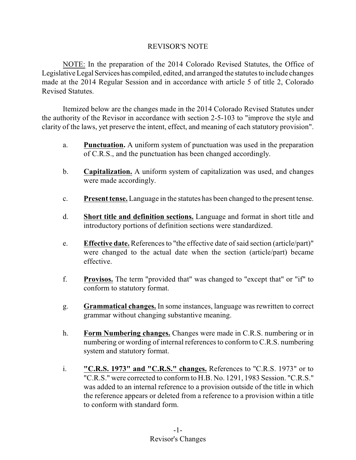# REVISOR'S NOTE

NOTE: In the preparation of the 2014 Colorado Revised Statutes, the Office of Legislative Legal Services has compiled, edited, and arranged the statutes to include changes made at the 2014 Regular Session and in accordance with article 5 of title 2, Colorado Revised Statutes.

Itemized below are the changes made in the 2014 Colorado Revised Statutes under the authority of the Revisor in accordance with section 2-5-103 to "improve the style and clarity of the laws, yet preserve the intent, effect, and meaning of each statutory provision".

- a. **Punctuation.** A uniform system of punctuation was used in the preparation of C.R.S., and the punctuation has been changed accordingly.
- b. **Capitalization.** A uniform system of capitalization was used, and changes were made accordingly.
- c. **Present tense.** Language in the statutes has been changed to the present tense.
- d. **Short title and definition sections.** Language and format in short title and introductory portions of definition sections were standardized.
- e. **Effective date.** References to "the effective date of said section (article/part)" were changed to the actual date when the section (article/part) became effective.
- f. **Provisos.** The term "provided that" was changed to "except that" or "if" to conform to statutory format.
- g. **Grammatical changes.** In some instances, language was rewritten to correct grammar without changing substantive meaning.
- h. **Form Numbering changes.** Changes were made in C.R.S. numbering or in numbering or wording of internal references to conform to C.R.S. numbering system and statutory format.
- i. **"C.R.S. 1973" and "C.R.S." changes.** References to "C.R.S. 1973" or to "C.R.S." were corrected to conform to H.B. No. 1291, 1983 Session. "C.R.S." was added to an internal reference to a provision outside of the title in which the reference appears or deleted from a reference to a provision within a title to conform with standard form.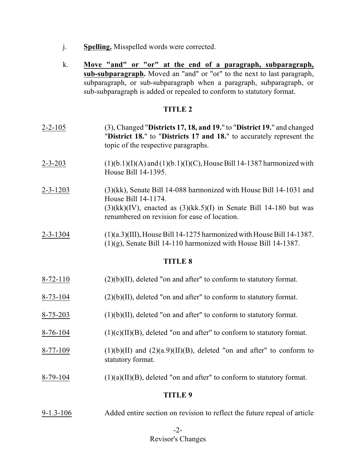- j. **Spelling.** Misspelled words were corrected.
- k. **Move "and" or "or" at the end of a paragraph, subparagraph, sub-subparagraph.** Moved an "and" or "or" to the next to last paragraph, subparagraph, or sub-subparagraph when a paragraph, subparagraph, or sub-subparagraph is added or repealed to conform to statutory format.

| $2 - 2 - 105$  | (3), Changed "Districts 17, 18, and 19." to "District 19." and changed<br>"District 18." to "Districts 17 and 18." to accurately represent the<br>topic of the respective paragraphs.                                   |  |
|----------------|-------------------------------------------------------------------------------------------------------------------------------------------------------------------------------------------------------------------------|--|
| $2 - 3 - 203$  | $(1)(b.1)(I)(A)$ and $(1)(b.1)(I)(C)$ , House Bill 14-1387 harmonized with<br>House Bill 14-1395.                                                                                                                       |  |
| $2 - 3 - 1203$ | $(3)(kk)$ , Senate Bill 14-088 harmonized with House Bill 14-1031 and<br>House Bill 14-1174.<br>$(3)(kk)(IV)$ , enacted as $(3)(kk.5)(I)$ in Senate Bill 14-180 but was<br>renumbered on revision for ease of location. |  |
| $2 - 3 - 1304$ | $(1)(a.3)(III)$ , House Bill 14-1275 harmonized with House Bill 14-1387.<br>$(1)(g)$ , Senate Bill 14-110 harmonized with House Bill 14-1387.                                                                           |  |
| <b>TITLE 8</b> |                                                                                                                                                                                                                         |  |
| $8 - 72 - 110$ | $(2)(b)(II)$ , deleted "on and after" to conform to statutory format.                                                                                                                                                   |  |
| $8 - 73 - 104$ | $(2)(b)(II)$ , deleted "on and after" to conform to statutory format.                                                                                                                                                   |  |
| $8 - 75 - 203$ | $(1)(b)(II)$ , deleted "on and after" to conform to statutory format.                                                                                                                                                   |  |
| $8 - 76 - 104$ | $(1)(c)(II)(B)$ , deleted "on and after" to conform to statutory format.                                                                                                                                                |  |
| $8 - 77 - 109$ | $(1)(b)(II)$ and $(2)(a.9)(II)(B)$ , deleted "on and after" to conform to<br>statutory format.                                                                                                                          |  |
| $8-79-104$     | $(1)(a)(II)(B)$ , deleted "on and after" to conform to statutory format.                                                                                                                                                |  |
| <b>TITLE 9</b> |                                                                                                                                                                                                                         |  |

9-1.3-106 Added entire section on revision to reflect the future repeal of article

# -2- Revisor's Changes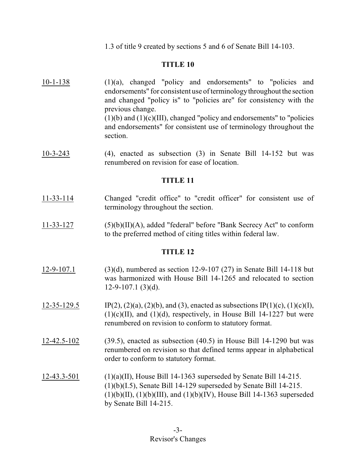1.3 of title 9 created by sections 5 and 6 of Senate Bill 14-103.

# **TITLE 10**

- 10-1-138 (1)(a), changed "policy and endorsements" to "policies and endorsements" for consistent use of terminology throughout the section and changed "policy is" to "policies are" for consistency with the previous change.  $(1)(b)$  and  $(1)(c)(III)$ , changed "policy and endorsements" to "policies" and endorsements" for consistent use of terminology throughout the section.
- 10-3-243 (4), enacted as subsection (3) in Senate Bill 14-152 but was renumbered on revision for ease of location.

# **TITLE 11**

- 11-33-114 Changed "credit office" to "credit officer" for consistent use of terminology throughout the section.
- 11-33-127 (5)(b)(II)(A), added "federal" before "Bank Secrecy Act" to conform to the preferred method of citing titles within federal law.

- 12-9-107.1 (3)(d), numbered as section 12-9-107 (27) in Senate Bill 14-118 but was harmonized with House Bill 14-1265 and relocated to section  $12-9-107.1$  (3)(d).
- 12-35-129.5 IP(2), (2)(a), (2)(b), and (3), enacted as subsections IP(1)(c), (1)(c)(I),  $(1)(c)(II)$ , and  $(1)(d)$ , respectively, in House Bill 14-1227 but were renumbered on revision to conform to statutory format.
- 12-42.5-102 (39.5), enacted as subsection (40.5) in House Bill 14-1290 but was renumbered on revision so that defined terms appear in alphabetical order to conform to statutory format.
- 12-43.3-501 (1)(a)(II), House Bill 14-1363 superseded by Senate Bill 14-215. (1)(b)(I.5), Senate Bill 14-129 superseded by Senate Bill 14-215.  $(1)(b)(II), (1)(b)(III), and (1)(b)(IV), House Bill 14-1363 superseded$ by Senate Bill 14-215.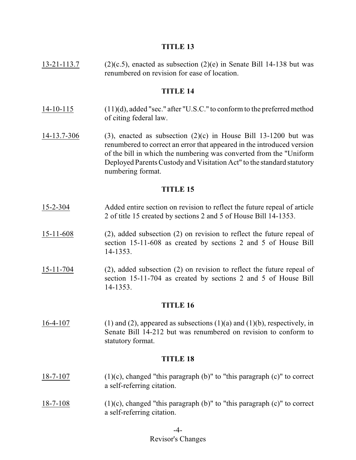13-21-113.7 (2)(c.5), enacted as subsection (2)(e) in Senate Bill 14-138 but was renumbered on revision for ease of location.

#### **TITLE 14**

- 14-10-115 (11)(d), added "sec." after "U.S.C." to conform to the preferred method of citing federal law.
- 14-13.7-306 (3), enacted as subsection (2)(c) in House Bill 13-1200 but was renumbered to correct an error that appeared in the introduced version of the bill in which the numbering was converted from the "Uniform Deployed Parents Custodyand Visitation Act" to the standard statutory numbering format.

#### **TITLE 15**

- 15-2-304 Added entire section on revision to reflect the future repeal of article 2 of title 15 created by sections 2 and 5 of House Bill 14-1353.
- 15-11-608 (2), added subsection (2) on revision to reflect the future repeal of section 15-11-608 as created by sections 2 and 5 of House Bill 14-1353.
- 15-11-704 (2), added subsection (2) on revision to reflect the future repeal of section 15-11-704 as created by sections 2 and 5 of House Bill 14-1353.

#### **TITLE 16**

16-4-107 (1) and (2), appeared as subsections  $(1)(a)$  and  $(1)(b)$ , respectively, in Senate Bill 14-212 but was renumbered on revision to conform to statutory format.

- 18-7-107 (1)(c), changed "this paragraph (b)" to "this paragraph (c)" to correct a self-referring citation.
- 18-7-108  $(1)(c)$ , changed "this paragraph (b)" to "this paragraph  $(c)$ " to correct a self-referring citation.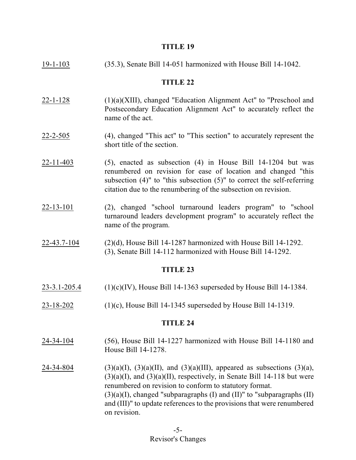| $19 - 1 - 103$     | (35.3), Senate Bill 14-051 harmonized with House Bill 14-1042.                                                                                                                                                                                                                                                                                                                                        |  |
|--------------------|-------------------------------------------------------------------------------------------------------------------------------------------------------------------------------------------------------------------------------------------------------------------------------------------------------------------------------------------------------------------------------------------------------|--|
| <b>TITLE 22</b>    |                                                                                                                                                                                                                                                                                                                                                                                                       |  |
| $22 - 1 - 128$     | $(1)(a)(XIII)$ , changed "Education Alignment Act" to "Preschool and<br>Postsecondary Education Alignment Act" to accurately reflect the<br>name of the act.                                                                                                                                                                                                                                          |  |
| $22 - 2 - 505$     | (4), changed "This act" to "This section" to accurately represent the<br>short title of the section.                                                                                                                                                                                                                                                                                                  |  |
| $22 - 11 - 403$    | $(5)$ , enacted as subsection $(4)$ in House Bill 14-1204 but was<br>renumbered on revision for ease of location and changed "this<br>subsection $(4)$ " to "this subsection $(5)$ " to correct the self-referring<br>citation due to the renumbering of the subsection on revision.                                                                                                                  |  |
| $22 - 13 - 101$    | (2), changed "school turnaround leaders program" to "school<br>turnaround leaders development program" to accurately reflect the<br>name of the program.                                                                                                                                                                                                                                              |  |
| 22-43.7-104        | $(2)(d)$ , House Bill 14-1287 harmonized with House Bill 14-1292.<br>(3), Senate Bill 14-112 harmonized with House Bill 14-1292.                                                                                                                                                                                                                                                                      |  |
|                    | <b>TITLE 23</b>                                                                                                                                                                                                                                                                                                                                                                                       |  |
| $23 - 3.1 - 205.4$ | $(1)(c)(IV)$ , House Bill 14-1363 superseded by House Bill 14-1384.                                                                                                                                                                                                                                                                                                                                   |  |
| 23-18-202          | $(1)(c)$ , House Bill 14-1345 superseded by House Bill 14-1319.                                                                                                                                                                                                                                                                                                                                       |  |
| <b>TITLE 24</b>    |                                                                                                                                                                                                                                                                                                                                                                                                       |  |
| 24-34-104          | (56), House Bill 14-1227 harmonized with House Bill 14-1180 and<br>House Bill 14-1278.                                                                                                                                                                                                                                                                                                                |  |
| 24-34-804          | $(3)(a)(I)$ , $(3)(a)(II)$ , and $(3)(a)(III)$ , appeared as subsections $(3)(a)$ ,<br>$(3)(a)(I)$ , and $(3)(a)(II)$ , respectively, in Senate Bill 14-118 but were<br>renumbered on revision to conform to statutory format.<br>$(3)(a)(I)$ , changed "subparagraphs (I) and (II)" to "subparagraphs (II)<br>and (III)" to update references to the provisions that were renumbered<br>on revision. |  |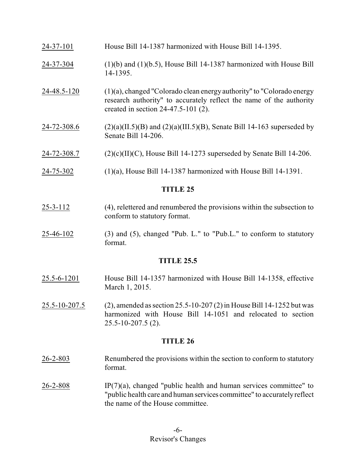| 24-72-308.7     | $(2)(c)(II)(C)$ , House Bill 14-1273 superseded by Senate Bill 14-206.                                                                                                                   |
|-----------------|------------------------------------------------------------------------------------------------------------------------------------------------------------------------------------------|
| 24-72-308.6     | $(2)(a)(II.5)(B)$ and $(2)(a)(III.5)(B)$ , Senate Bill 14-163 superseded by<br>Senate Bill 14-206.                                                                                       |
| 24-48.5-120     | $(1)(a)$ , changed "Colorado clean energy authority" to "Colorado energy<br>research authority" to accurately reflect the name of the authority<br>created in section $24-47.5-101(2)$ . |
| 24-37-304       | $(1)(b)$ and $(1)(b.5)$ , House Bill 14-1387 harmonized with House Bill<br>14-1395.                                                                                                      |
| $24 - 37 - 101$ | House Bill 14-1387 harmonized with House Bill 14-1395.                                                                                                                                   |

- $25-3-112$  (4), relettered and renumbered the provisions within the subsection to conform to statutory format.
- $25-46-102$  (3) and (5), changed "Pub. L." to "Pub. L." to conform to statutory format.

## **TITLE 25.5**

- 25.5-6-1201 House Bill 14-1357 harmonized with House Bill 14-1358, effective March 1, 2015.
- 25.5-10-207.5 (2), amended as section 25.5-10-207 (2) in House Bill 14-1252 but was harmonized with House Bill 14-1051 and relocated to section 25.5-10-207.5 (2).

- 26-2-803 Renumbered the provisions within the section to conform to statutory format.
- $26-2-808$  IP(7)(a), changed "public health and human services committee" to "public health care and human services committee" to accuratelyreflect the name of the House committee.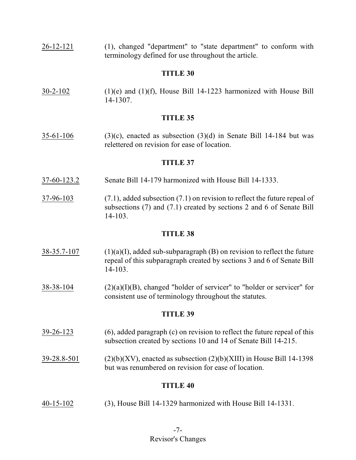26-12-121 (1), changed "department" to "state department" to conform with terminology defined for use throughout the article.

### **TITLE 30**

30-2-102 (1)(e) and (1)(f), House Bill 14-1223 harmonized with House Bill 14-1307.

### **TITLE 35**

 $35-61-106$  (3)(c), enacted as subsection (3)(d) in Senate Bill 14-184 but was relettered on revision for ease of location.

#### **TITLE 37**

- 37-60-123.2 Senate Bill 14-179 harmonized with House Bill 14-1333.
- 37-96-103 (7.1), added subsection (7.1) on revision to reflect the future repeal of subsections (7) and (7.1) created by sections 2 and 6 of Senate Bill 14-103.

#### **TITLE 38**

- 38-35.7-107 (1)(a)(I), added sub-subparagraph (B) on revision to reflect the future repeal of this subparagraph created by sections 3 and 6 of Senate Bill 14-103.
- $38-38-104$  (2)(a)(I)(B), changed "holder of servicer" to "holder or servicer" for consistent use of terminology throughout the statutes.

#### **TITLE 39**

- 39-26-123 (6), added paragraph (c) on revision to reflect the future repeal of this subsection created by sections 10 and 14 of Senate Bill 14-215.
- $39-28.8-501$  (2)(b)(XV), enacted as subsection (2)(b)(XIII) in House Bill 14-1398 but was renumbered on revision for ease of location.

## **TITLE 40**

40-15-102 (3), House Bill 14-1329 harmonized with House Bill 14-1331.